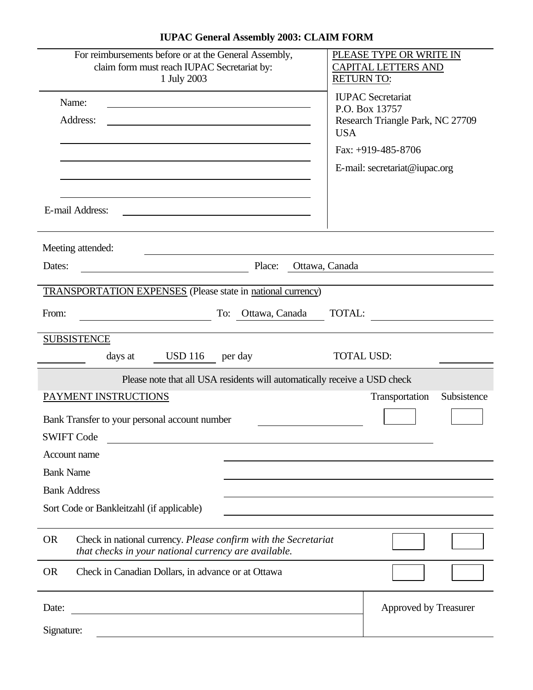| For reimbursements before or at the General Assembly,<br>claim form must reach IUPAC Secretariat by:<br>1 July 2003                  | PLEASE TYPE OR WRITE IN<br><b>CAPITAL LETTERS AND</b><br><b>RETURN TO:</b>     |
|--------------------------------------------------------------------------------------------------------------------------------------|--------------------------------------------------------------------------------|
| Name:<br>Address:                                                                                                                    | <b>IUPAC</b> Secretariat<br>P.O. Box 13757<br>Research Triangle Park, NC 27709 |
|                                                                                                                                      | <b>USA</b>                                                                     |
|                                                                                                                                      | Fax: $+919-485-8706$                                                           |
|                                                                                                                                      | E-mail: secretariat@iupac.org                                                  |
| E-mail Address:                                                                                                                      |                                                                                |
| Meeting attended:                                                                                                                    |                                                                                |
| Place:<br>Dates:                                                                                                                     | Ottawa, Canada                                                                 |
| <b>TRANSPORTATION EXPENSES</b> (Please state in national currency)                                                                   |                                                                                |
| From:<br>Ottawa, Canada<br>To:                                                                                                       | <b>TOTAL:</b>                                                                  |
| <b>SUBSISTENCE</b>                                                                                                                   |                                                                                |
| <b>USD 116</b><br>days at<br>per day                                                                                                 | <b>TOTAL USD:</b>                                                              |
| Please note that all USA residents will automatically receive a USD check                                                            |                                                                                |
|                                                                                                                                      | Subsistence                                                                    |
| PAYMENT INSTRUCTIONS                                                                                                                 | Transportation                                                                 |
| Bank Transfer to your personal account number                                                                                        |                                                                                |
| <b>SWIFT Code</b>                                                                                                                    |                                                                                |
| Account name                                                                                                                         |                                                                                |
| <b>Bank Name</b>                                                                                                                     |                                                                                |
| <b>Bank Address</b>                                                                                                                  |                                                                                |
| Sort Code or Bankleitzahl (if applicable)                                                                                            |                                                                                |
| <b>OR</b><br>Check in national currency. Please confirm with the Secretariat<br>that checks in your national currency are available. |                                                                                |
| <b>OR</b><br>Check in Canadian Dollars, in advance or at Ottawa                                                                      |                                                                                |
| Date:                                                                                                                                | Approved by Treasurer                                                          |

## **IUPAC General Assembly 2003: CLAIM FORM**